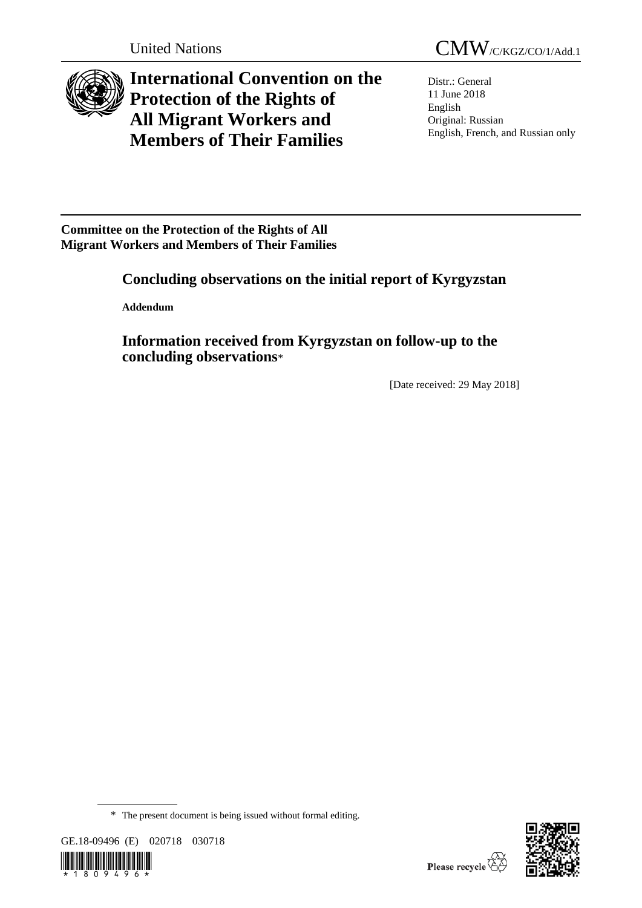

**International Convention on the Protection of the Rights of All Migrant Workers and Members of Their Families**

Distr.: General 11 June 2018 English Original: Russian English, French, and Russian only

**Committee on the Protection of the Rights of All Migrant Workers and Members of Their Families**

# **Concluding observations on the initial report of Kyrgyzstan**

**Addendum**

**Information received from Kyrgyzstan on follow-up to the concluding observations**\*

[Date received: 29 May 2018]

GE.18-09496 (E) 020718 030718





<sup>\*</sup> The present document is being issued without formal editing.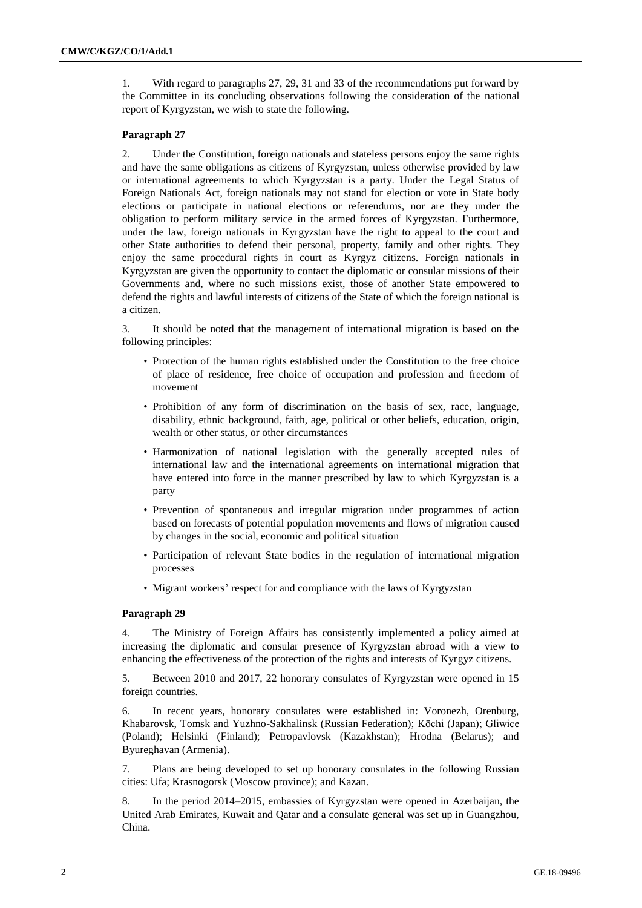1. With regard to paragraphs 27, 29, 31 and 33 of the recommendations put forward by the Committee in its concluding observations following the consideration of the national report of Kyrgyzstan, we wish to state the following.

# **Paragraph 27**

2. Under the Constitution, foreign nationals and stateless persons enjoy the same rights and have the same obligations as citizens of Kyrgyzstan, unless otherwise provided by law or international agreements to which Kyrgyzstan is a party. Under the Legal Status of Foreign Nationals Act, foreign nationals may not stand for election or vote in State body elections or participate in national elections or referendums, nor are they under the obligation to perform military service in the armed forces of Kyrgyzstan. Furthermore, under the law, foreign nationals in Kyrgyzstan have the right to appeal to the court and other State authorities to defend their personal, property, family and other rights. They enjoy the same procedural rights in court as Kyrgyz citizens. Foreign nationals in Kyrgyzstan are given the opportunity to contact the diplomatic or consular missions of their Governments and, where no such missions exist, those of another State empowered to defend the rights and lawful interests of citizens of the State of which the foreign national is a citizen.

3. It should be noted that the management of international migration is based on the following principles:

- Protection of the human rights established under the Constitution to the free choice of place of residence, free choice of occupation and profession and freedom of movement
- Prohibition of any form of discrimination on the basis of sex, race, language, disability, ethnic background, faith, age, political or other beliefs, education, origin, wealth or other status, or other circumstances
- Harmonization of national legislation with the generally accepted rules of international law and the international agreements on international migration that have entered into force in the manner prescribed by law to which Kyrgyzstan is a party
- Prevention of spontaneous and irregular migration under programmes of action based on forecasts of potential population movements and flows of migration caused by changes in the social, economic and political situation
- Participation of relevant State bodies in the regulation of international migration processes
- Migrant workers' respect for and compliance with the laws of Kyrgyzstan

#### **Paragraph 29**

4. The Ministry of Foreign Affairs has consistently implemented a policy aimed at increasing the diplomatic and consular presence of Kyrgyzstan abroad with a view to enhancing the effectiveness of the protection of the rights and interests of Kyrgyz citizens.

5. Between 2010 and 2017, 22 honorary consulates of Kyrgyzstan were opened in 15 foreign countries.

6. In recent years, honorary consulates were established in: Voronezh, Orenburg, Khabarovsk, Tomsk and Yuzhno-Sakhalinsk (Russian Federation); Kōchi (Japan); Gliwice (Poland); Helsinki (Finland); Petropavlovsk (Kazakhstan); Hrodna (Belarus); and Byureghavan (Armenia).

7. Plans are being developed to set up honorary consulates in the following Russian cities: Ufa; Krasnogorsk (Moscow province); and Kazan.

8. In the period 2014–2015, embassies of Kyrgyzstan were opened in Azerbaijan, the United Arab Emirates, Kuwait and Qatar and a consulate general was set up in Guangzhou, China.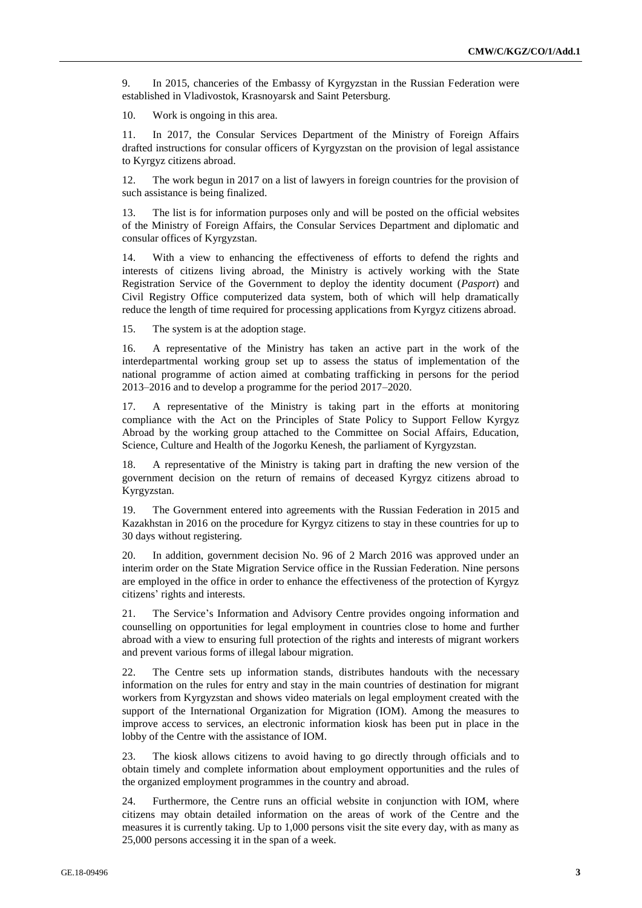9. In 2015, chanceries of the Embassy of Kyrgyzstan in the Russian Federation were established in Vladivostok, Krasnoyarsk and Saint Petersburg.

10. Work is ongoing in this area.

11. In 2017, the Consular Services Department of the Ministry of Foreign Affairs drafted instructions for consular officers of Kyrgyzstan on the provision of legal assistance to Kyrgyz citizens abroad.

12. The work begun in 2017 on a list of lawyers in foreign countries for the provision of such assistance is being finalized.

13. The list is for information purposes only and will be posted on the official websites of the Ministry of Foreign Affairs, the Consular Services Department and diplomatic and consular offices of Kyrgyzstan.

14. With a view to enhancing the effectiveness of efforts to defend the rights and interests of citizens living abroad, the Ministry is actively working with the State Registration Service of the Government to deploy the identity document (*Pasport*) and Civil Registry Office computerized data system, both of which will help dramatically reduce the length of time required for processing applications from Kyrgyz citizens abroad.

15. The system is at the adoption stage.

16. A representative of the Ministry has taken an active part in the work of the interdepartmental working group set up to assess the status of implementation of the national programme of action aimed at combating trafficking in persons for the period 2013–2016 and to develop a programme for the period 2017–2020.

17. A representative of the Ministry is taking part in the efforts at monitoring compliance with the Act on the Principles of State Policy to Support Fellow Kyrgyz Abroad by the working group attached to the Committee on Social Affairs, Education, Science, Culture and Health of the Jogorku Kenesh, the parliament of Kyrgyzstan.

18. A representative of the Ministry is taking part in drafting the new version of the government decision on the return of remains of deceased Kyrgyz citizens abroad to Kyrgyzstan.

19. The Government entered into agreements with the Russian Federation in 2015 and Kazakhstan in 2016 on the procedure for Kyrgyz citizens to stay in these countries for up to 30 days without registering.

20. In addition, government decision No. 96 of 2 March 2016 was approved under an interim order on the State Migration Service office in the Russian Federation. Nine persons are employed in the office in order to enhance the effectiveness of the protection of Kyrgyz citizens' rights and interests.

21. The Service's Information and Advisory Centre provides ongoing information and counselling on opportunities for legal employment in countries close to home and further abroad with a view to ensuring full protection of the rights and interests of migrant workers and prevent various forms of illegal labour migration.

22. The Centre sets up information stands, distributes handouts with the necessary information on the rules for entry and stay in the main countries of destination for migrant workers from Kyrgyzstan and shows video materials on legal employment created with the support of the International Organization for Migration (IOM). Among the measures to improve access to services, an electronic information kiosk has been put in place in the lobby of the Centre with the assistance of IOM.

23. The kiosk allows citizens to avoid having to go directly through officials and to obtain timely and complete information about employment opportunities and the rules of the organized employment programmes in the country and abroad.

24. Furthermore, the Centre runs an official website in conjunction with IOM, where citizens may obtain detailed information on the areas of work of the Centre and the measures it is currently taking. Up to 1,000 persons visit the site every day, with as many as 25,000 persons accessing it in the span of a week.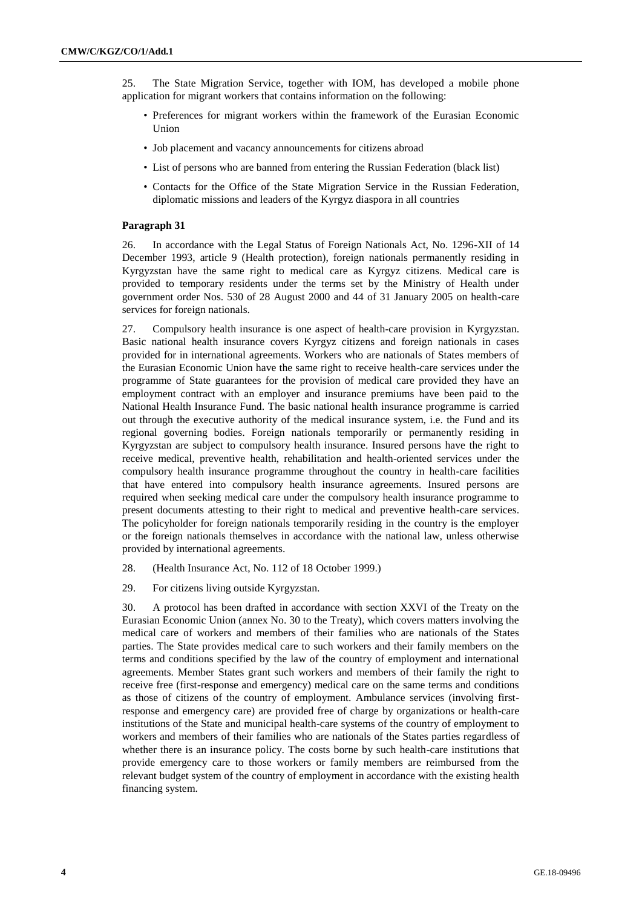25. The State Migration Service, together with IOM, has developed a mobile phone application for migrant workers that contains information on the following:

- Preferences for migrant workers within the framework of the Eurasian Economic Union
- Job placement and vacancy announcements for citizens abroad
- List of persons who are banned from entering the Russian Federation (black list)
- Contacts for the Office of the State Migration Service in the Russian Federation, diplomatic missions and leaders of the Kyrgyz diaspora in all countries

### **Paragraph 31**

26. In accordance with the Legal Status of Foreign Nationals Act, No. 1296-XII of 14 December 1993, article 9 (Health protection), foreign nationals permanently residing in Kyrgyzstan have the same right to medical care as Kyrgyz citizens. Medical care is provided to temporary residents under the terms set by the Ministry of Health under government order Nos. 530 of 28 August 2000 and 44 of 31 January 2005 on health-care services for foreign nationals.

27. Compulsory health insurance is one aspect of health-care provision in Kyrgyzstan. Basic national health insurance covers Kyrgyz citizens and foreign nationals in cases provided for in international agreements. Workers who are nationals of States members of the Eurasian Economic Union have the same right to receive health-care services under the programme of State guarantees for the provision of medical care provided they have an employment contract with an employer and insurance premiums have been paid to the National Health Insurance Fund. The basic national health insurance programme is carried out through the executive authority of the medical insurance system, i.e. the Fund and its regional governing bodies. Foreign nationals temporarily or permanently residing in Kyrgyzstan are subject to compulsory health insurance. Insured persons have the right to receive medical, preventive health, rehabilitation and health-oriented services under the compulsory health insurance programme throughout the country in health-care facilities that have entered into compulsory health insurance agreements. Insured persons are required when seeking medical care under the compulsory health insurance programme to present documents attesting to their right to medical and preventive health-care services. The policyholder for foreign nationals temporarily residing in the country is the employer or the foreign nationals themselves in accordance with the national law, unless otherwise provided by international agreements.

28. (Health Insurance Act, No. 112 of 18 October 1999.)

29. For citizens living outside Kyrgyzstan.

30. A protocol has been drafted in accordance with section XXVI of the Treaty on the Eurasian Economic Union (annex No. 30 to the Treaty), which covers matters involving the medical care of workers and members of their families who are nationals of the States parties. The State provides medical care to such workers and their family members on the terms and conditions specified by the law of the country of employment and international agreements. Member States grant such workers and members of their family the right to receive free (first-response and emergency) medical care on the same terms and conditions as those of citizens of the country of employment. Ambulance services (involving firstresponse and emergency care) are provided free of charge by organizations or health-care institutions of the State and municipal health-care systems of the country of employment to workers and members of their families who are nationals of the States parties regardless of whether there is an insurance policy. The costs borne by such health-care institutions that provide emergency care to those workers or family members are reimbursed from the relevant budget system of the country of employment in accordance with the existing health financing system.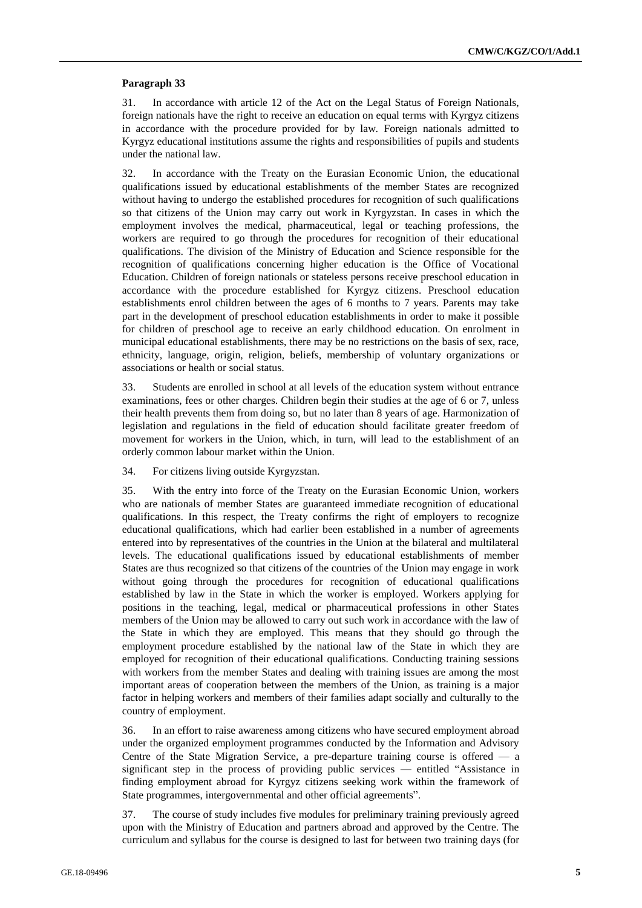## **Paragraph 33**

31. In accordance with article 12 of the Act on the Legal Status of Foreign Nationals, foreign nationals have the right to receive an education on equal terms with Kyrgyz citizens in accordance with the procedure provided for by law. Foreign nationals admitted to Kyrgyz educational institutions assume the rights and responsibilities of pupils and students under the national law.

32. In accordance with the Treaty on the Eurasian Economic Union, the educational qualifications issued by educational establishments of the member States are recognized without having to undergo the established procedures for recognition of such qualifications so that citizens of the Union may carry out work in Kyrgyzstan. In cases in which the employment involves the medical, pharmaceutical, legal or teaching professions, the workers are required to go through the procedures for recognition of their educational qualifications. The division of the Ministry of Education and Science responsible for the recognition of qualifications concerning higher education is the Office of Vocational Education. Children of foreign nationals or stateless persons receive preschool education in accordance with the procedure established for Kyrgyz citizens. Preschool education establishments enrol children between the ages of 6 months to 7 years. Parents may take part in the development of preschool education establishments in order to make it possible for children of preschool age to receive an early childhood education. On enrolment in municipal educational establishments, there may be no restrictions on the basis of sex, race, ethnicity, language, origin, religion, beliefs, membership of voluntary organizations or associations or health or social status.

33. Students are enrolled in school at all levels of the education system without entrance examinations, fees or other charges. Children begin their studies at the age of 6 or 7, unless their health prevents them from doing so, but no later than 8 years of age. Harmonization of legislation and regulations in the field of education should facilitate greater freedom of movement for workers in the Union, which, in turn, will lead to the establishment of an orderly common labour market within the Union.

34. For citizens living outside Kyrgyzstan.

35. With the entry into force of the Treaty on the Eurasian Economic Union, workers who are nationals of member States are guaranteed immediate recognition of educational qualifications. In this respect, the Treaty confirms the right of employers to recognize educational qualifications, which had earlier been established in a number of agreements entered into by representatives of the countries in the Union at the bilateral and multilateral levels. The educational qualifications issued by educational establishments of member States are thus recognized so that citizens of the countries of the Union may engage in work without going through the procedures for recognition of educational qualifications established by law in the State in which the worker is employed. Workers applying for positions in the teaching, legal, medical or pharmaceutical professions in other States members of the Union may be allowed to carry out such work in accordance with the law of the State in which they are employed. This means that they should go through the employment procedure established by the national law of the State in which they are employed for recognition of their educational qualifications. Conducting training sessions with workers from the member States and dealing with training issues are among the most important areas of cooperation between the members of the Union, as training is a major factor in helping workers and members of their families adapt socially and culturally to the country of employment.

36. In an effort to raise awareness among citizens who have secured employment abroad under the organized employment programmes conducted by the Information and Advisory Centre of the State Migration Service, a pre-departure training course is offered — a significant step in the process of providing public services — entitled "Assistance in finding employment abroad for Kyrgyz citizens seeking work within the framework of State programmes, intergovernmental and other official agreements".

37. The course of study includes five modules for preliminary training previously agreed upon with the Ministry of Education and partners abroad and approved by the Centre. The curriculum and syllabus for the course is designed to last for between two training days (for